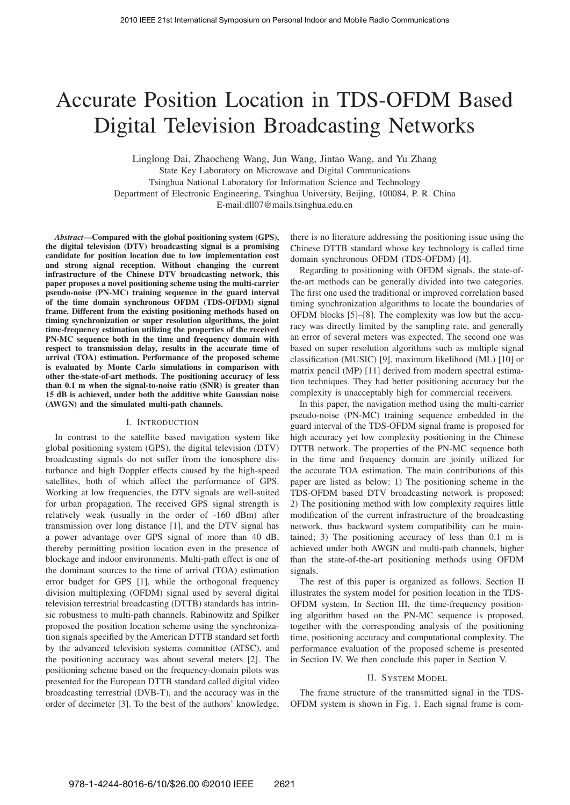# Accurate Position Location in TDS-OFDM Based Digital Television Broadcasting Networks

Linglong Dai, Zhaocheng Wang, Jun Wang, Jintao Wang, and Yu Zhang State Key Laboratory on Microwave and Digital Communications Tsinghua National Laboratory for Information Science and Technology Department of Electronic Engineering, Tsinghua University, Beijing, 100084, P. R. China E-mail:dll07@mails.tsinghua.edu.cn

*Abstract*—Compared with the global positioning system (GPS), the digital television (DTV) broadcasting signal is a promising candidate for position location due to low implementation cost and strong signal reception. Without changing the current infrastructure of the Chinese DTV broadcasting network, this paper proposes a novel positioning scheme using the multi-carrier pseudo-noise (PN-MC) training sequence in the guard interval of the time domain synchronous OFDM (TDS-OFDM) signal frame. Different from the existing positioning methods based on timing synchronization or super resolution algorithms, the joint time-frequency estimation utilizing the properties of the received PN-MC sequence both in the time and frequency domain with respect to transmission delay, results in the accurate time of arrival (TOA) estimation. Performance of the proposed scheme is evaluated by Monte Carlo simulations in comparison with other the-state-of-art methods. The positioning accuracy of less than 0.1 m when the signal-to-noise ratio (SNR) is greater than 15 dB is achieved, under both the additive white Gaussian noise (AWGN) and the simulated multi-path channels.

#### I. INTRODUCTION

In contrast to the satellite based navigation system like global positioning system (GPS), the digital television (DTV) broadcasting signals do not suffer from the ionosphere disturbance and high Doppler effects caused by the high-speed satellites, both of which affect the performance of GPS. Working at low frequencies, the DTV signals are well-suited for urban propagation. The received GPS signal strength is relatively weak (usually in the order of -160 dBm) after transmission over long distance [1], and the DTV signal has a power advantage over GPS signal of more than 40 dB, thereby permitting position location even in the presence of blockage and indoor environments. Multi-path effect is one of the dominant sources to the time of arrival (TOA) estimation error budget for GPS [1], while the orthogonal frequency division multiplexing (OFDM) signal used by several digital television terrestrial broadcasting (DTTB) standards has intrinsic robustness to multi-path channels. Rabinowitz and Spilker proposed the position location scheme using the synchronization signals specified by the American DTTB standard set forth by the advanced television systems committee (ATSC), and the positioning accuracy was about several meters [2]. The positioning scheme based on the frequency-domain pilots was presented for the European DTTB standard called digital video broadcasting terrestrial (DVB-T), and the accuracy was in the order of decimeter [3]. To the best of the authors' knowledge, there is no literature addressing the positioning issue using the Chinese DTTB standard whose key technology is called time domain synchronous OFDM (TDS-OFDM) [4].

Regarding to positioning with OFDM signals, the state-ofthe-art methods can be generally divided into two categories. The first one used the traditional or improved correlation based timing synchronization algorithms to locate the boundaries of OFDM blocks [5]–[8]. The complexity was low but the accuracy was directly limited by the sampling rate, and generally an error of several meters was expected. The second one was based on super resolution algorithms such as multiple signal classification (MUSIC) [9], maximum likelihood (ML) [10] or matrix pencil (MP) [11] derived from modern spectral estimation techniques. They had better positioning accuracy but the complexity is unacceptably high for commercial receivers.

In this paper, the navigation method using the multi-carrier pseudo-noise (PN-MC) training sequence embedded in the guard interval of the TDS-OFDM signal frame is proposed for high accuracy yet low complexity positioning in the Chinese DTTB network. The properties of the PN-MC sequence both in the time and frequency domain are jointly utilized for the accurate TOA estimation. The main contributions of this paper are listed as below: 1) The positioning scheme in the TDS-OFDM based DTV broadcasting network is proposed; 2) The positioning method with low complexity requires little modification of the current infrastructure of the broadcasting network, thus backward system compatibility can be maintained; 3) The positioning accuracy of less than 0.1 m is achieved under both AWGN and multi-path channels, higher than the state-of-the-art positioning methods using OFDM signals.

The rest of this paper is organized as follows. Section II illustrates the system model for position location in the TDS-OFDM system. In Section III, the time-frequency positioning algorithm based on the PN-MC sequence is proposed, together with the corresponding analysis of the positioning time, positioning accuracy and computational complexity. The performance evaluation of the proposed scheme is presented in Section IV. We then conclude this paper in Section V.

## II. SYSTEM MODEL

The frame structure of the transmitted signal in the TDS-OFDM system is shown in Fig. 1. Each signal frame is com-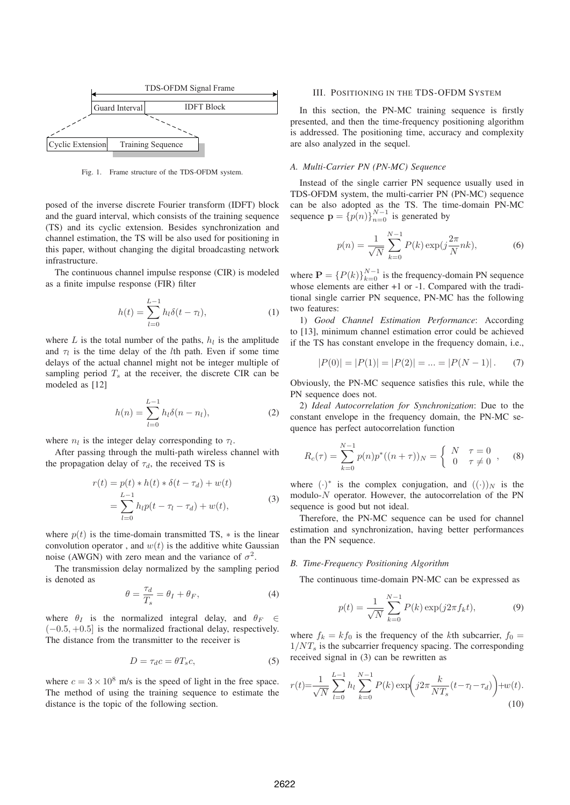

Fig. 1. Frame structure of the TDS-OFDM system.

posed of the inverse discrete Fourier transform (IDFT) block and the guard interval, which consists of the training sequence (TS) and its cyclic extension. Besides synchronization and channel estimation, the TS will be also used for positioning in this paper, without changing the digital broadcasting network infrastructure.

The continuous channel impulse response (CIR) is modeled as a finite impulse response (FIR) filter

$$
h(t) = \sum_{l=0}^{L-1} h_l \delta(t - \tau_l),
$$
 (1)

where L is the total number of the paths,  $h_l$  is the amplitude and  $\tau_l$  is the time delay of the *l*th path. Even if some time delays of the actual channel might not be integer multiple of sampling period  $T<sub>s</sub>$  at the receiver, the discrete CIR can be modeled as [12]

$$
h(n) = \sum_{l=0}^{L-1} h_l \delta(n - n_l),
$$
 (2)

where  $n_l$  is the integer delay corresponding to  $\tau_l$ .

After passing through the multi-path wireless channel with the propagation delay of  $\tau_d$ , the received TS is

$$
r(t) = p(t) * h(t) * \delta(t - \tau_d) + w(t)
$$
  
= 
$$
\sum_{l=0}^{L-1} h_l p(t - \tau_l - \tau_d) + w(t),
$$
 (3)

where  $p(t)$  is the time-domain transmitted TS,  $*$  is the linear convolution operator, and  $w(t)$  is the additive white Gaussian noise (AWGN) with zero mean and the variance of  $\sigma^2$ .

The transmission delay normalized by the sampling period is denoted as

$$
\theta = \frac{\tau_d}{T_s} = \theta_I + \theta_F,\tag{4}
$$

where  $\theta_I$  is the normalized integral delay, and  $\theta_F \in$  $(-0.5, +0.5]$  is the normalized fractional delay, respectively. The distance from the transmitter to the receiver is

$$
D = \tau_d c = \theta T_s c,\tag{5}
$$

where  $c = 3 \times 10^8$  m/s is the speed of light in the free space. The method of using the training sequence to estimate the distance is the topic of the following section.

## III. POSITIONING IN THE TDS-OFDM SYSTEM

In this section, the PN-MC training sequence is firstly presented, and then the time-frequency positioning algorithm is addressed. The positioning time, accuracy and complexity are also analyzed in the sequel.

# *A. Multi-Carrier PN (PN-MC) Sequence*

Instead of the single carrier PN sequence usually used in TDS-OFDM system, the multi-carrier PN (PN-MC) sequence can be also adopted as the TS. The time-domain PN-MC sequence  $\mathbf{p} = {p(n)}_{n=0}^{N-1}$  is generated by

$$
p(n) = \frac{1}{\sqrt{N}} \sum_{k=0}^{N-1} P(k) \exp(j\frac{2\pi}{N}nk),
$$
 (6)

where  $\mathbf{P} = \{P(k)\}_{k=0}^{N-1}$  is the frequency-domain PN sequence<br>whose elements are either +1 or -1. Compared with the tradiwhose elements are either +1 or -1. Compared with the traditional single carrier PN sequence, PN-MC has the following two features:

1) *Good Channel Estimation Performance*: According to [13], minimum channel estimation error could be achieved if the TS has constant envelope in the frequency domain, i.e.,

$$
|P(0)| = |P(1)| = |P(2)| = \dots = |P(N-1)|. \tag{7}
$$

Obviously, the PN-MC sequence satisfies this rule, while the PN sequence does not.

2) *Ideal Autocorrelation for Synchronization*: Due to the constant envelope in the frequency domain, the PN-MC sequence has perfect autocorrelation function

$$
R_c(\tau) = \sum_{k=0}^{N-1} p(n) p^* ((n+\tau))_N = \begin{cases} N & \tau = 0 \\ 0 & \tau \neq 0 \end{cases}, \quad (8)
$$

where  $(\cdot)^*$  is the complex conjugation, and  $((\cdot))_N$  is the modulo-N operator. However, the autocorrelation of the PN sequence is good but not ideal.

Therefore, the PN-MC sequence can be used for channel estimation and synchronization, having better performances than the PN sequence.

#### *B. Time-Frequency Positioning Algorithm*

The continuous time-domain PN-MC can be expressed as

$$
p(t) = \frac{1}{\sqrt{N}} \sum_{k=0}^{N-1} P(k) \exp(j2\pi f_k t),
$$
 (9)

where  $f_k = kf_0$  is the frequency of the kth subcarrier,  $f_0 =$  $1/NT_s$  is the subcarrier frequency spacing. The corresponding received signal in (3) can be rewritten as

$$
r(t) = \frac{1}{\sqrt{N}} \sum_{l=0}^{L-1} h_l \sum_{k=0}^{N-1} P(k) \exp\left(j2\pi \frac{k}{NT_s}(t - \tau_l - \tau_d)\right) + w(t).
$$
\n(10)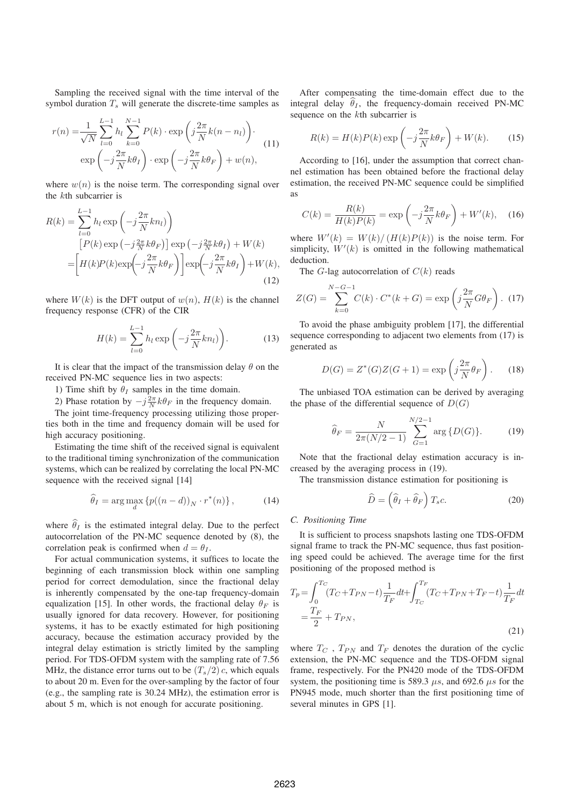Sampling the received signal with the time interval of the symbol duration  $T<sub>s</sub>$  will generate the discrete-time samples as

$$
r(n) = \frac{1}{\sqrt{N}} \sum_{l=0}^{L-1} h_l \sum_{k=0}^{N-1} P(k) \cdot \exp\left(j \frac{2\pi}{N} k(n - n_l)\right) \cdot \exp\left(-j \frac{2\pi}{N} k \theta_I\right) \cdot \exp\left(-j \frac{2\pi}{N} k \theta_F\right) + w(n),
$$
\n(11)

where  $w(n)$  is the noise term. The corresponding signal over the kth subcarrier is

$$
R(k) = \sum_{l=0}^{L-1} h_l \exp\left(-j\frac{2\pi}{N}kn_l\right)
$$
  
\n
$$
\left[P(k)\exp\left(-j\frac{2\pi}{N}k\theta_F\right)\right] \exp\left(-j\frac{2\pi}{N}k\theta_I\right) + W(k)
$$
  
\n
$$
= \left[H(k)P(k)\exp\left(-j\frac{2\pi}{N}k\theta_F\right)\right] \exp\left(-j\frac{2\pi}{N}k\theta_I\right) + W(k),
$$
\n(12)

where  $W(k)$  is the DFT output of  $w(n)$ ,  $H(k)$  is the channel frequency response (CFR) of the CIR

$$
H(k) = \sum_{l=0}^{L-1} h_l \exp\left(-j\frac{2\pi}{N}kn_l\right).
$$
 (13)

It is clear that the impact of the transmission delay  $\theta$  on the received PN-MC sequence lies in two aspects:

1) Time shift by  $\theta_I$  samples in the time domain.

2) Phase rotation by  $-j\frac{2\pi}{N}k\theta_F$  in the frequency domain.

The joint time-frequency processing utilizing those properties both in the time and frequency domain will be used for high accuracy positioning.

Estimating the time shift of the received signal is equivalent to the traditional timing synchronization of the communication systems, which can be realized by correlating the local PN-MC sequence with the received signal [14]

$$
\widehat{\theta}_I = \arg\max_{d} \left\{ p((n-d))_N \cdot r^*(n) \right\},\tag{14}
$$

where  $\hat{\theta}_I$  is the estimated integral delay. Due to the perfect autocorrelation of the PN-MC sequence denoted by (8), the correlation peak is confirmed when  $d = \theta_I$ .

For actual communication systems, it suffices to locate the beginning of each transmission block within one sampling period for correct demodulation, since the fractional delay is inherently compensated by the one-tap frequency-domain equalization [15]. In other words, the fractional delay  $\theta_F$  is usually ignored for data recovery. However, for positioning systems, it has to be exactly estimated for high positioning accuracy, because the estimation accuracy provided by the integral delay estimation is strictly limited by the sampling period. For TDS-OFDM system with the sampling rate of 7.56 MHz, the distance error turns out to be  $(T_s/2)$  c, which equals to about 20 m. Even for the over-sampling by the factor of four (e.g., the sampling rate is 30.24 MHz), the estimation error is about 5 m, which is not enough for accurate positioning.

After compensating the time-domain effect due to the integral delay  $\hat{\theta}_I$ , the frequency-domain received PN-MC sequence on the kth subcarrier is

$$
R(k) = H(k)P(k)\exp\left(-j\frac{2\pi}{N}k\theta_F\right) + W(k).
$$
 (15)

According to [16], under the assumption that correct channel estimation has been obtained before the fractional delay estimation, the received PN-MC sequence could be simplified as

$$
C(k) = \frac{R(k)}{H(k)P(k)} = \exp\left(-j\frac{2\pi}{N}k\theta_F\right) + W'(k), \quad (16)
$$

where  $W'(k) = W(k)/(H(k)P(k))$  is the noise term. For examplicity  $W'(k)$  is omitted in the following mathematical simplicity,  $W'(k)$  is omitted in the following mathematical<br>deduction deduction.

The G-lag autocorrelation of  $C(k)$  reads

$$
Z(G) = \sum_{k=0}^{N-G-1} C(k) \cdot C^*(k+G) = \exp\left(j\frac{2\pi}{N}G\theta_F\right).
$$
 (17)

To avoid the phase ambiguity problem [17], the differential sequence corresponding to adjacent two elements from (17) is generated as

$$
D(G) = Z^*(G)Z(G+1) = \exp\left(j\frac{2\pi}{N}\theta_F\right). \tag{18}
$$

The unbiased TOA estimation can be derived by averaging the phase of the differential sequence of  $D(G)$ 

$$
\widehat{\theta}_F = \frac{N}{2\pi(N/2 - 1)} \sum_{G=1}^{N/2 - 1} \arg\{D(G)\}.
$$
 (19)

Note that the fractional delay estimation accuracy is increased by the averaging process in (19).

The transmission distance estimation for positioning is

$$
\widehat{D} = \left(\widehat{\theta}_I + \widehat{\theta}_F\right)T_s c. \tag{20}
$$

#### *C. Positioning Time*

It is sufficient to process snapshots lasting one TDS-OFDM signal frame to track the PN-MC sequence, thus fast positioning speed could be achieved. The average time for the first positioning of the proposed method is

$$
T_p = \int_0^{T_C} (T_C + T_{PN} - t) \frac{1}{T_F} dt + \int_{T_C}^{T_F} (T_C + T_{PN} + T_F - t) \frac{1}{T_F} dt
$$
  
=  $\frac{T_F}{2} + T_{PN}$ , (21)

where  $T_C$ ,  $T_{PN}$  and  $T_F$  denotes the duration of the cyclic extension, the PN-MC sequence and the TDS-OFDM signal frame, respectively. For the PN420 mode of the TDS-OFDM system, the positioning time is 589.3  $\mu s$ , and 692.6  $\mu s$  for the PN945 mode, much shorter than the first positioning time of several minutes in GPS [1].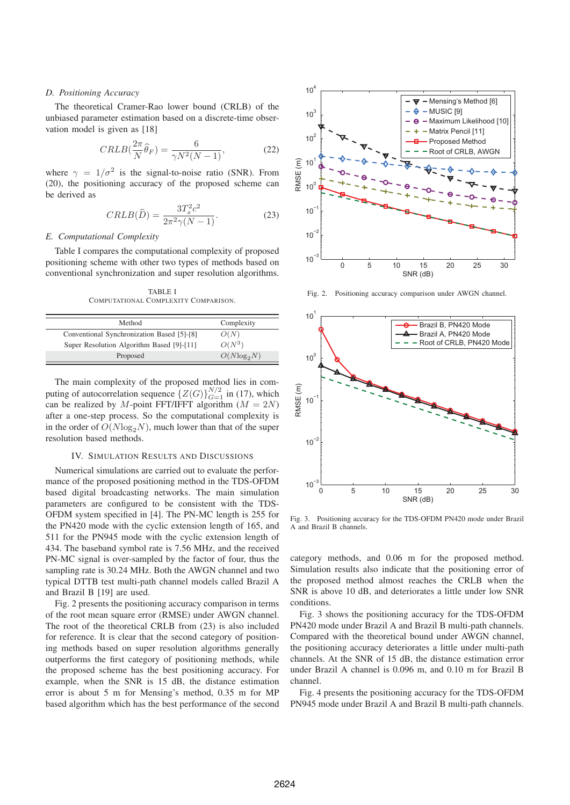#### *D. Positioning Accuracy*

The theoretical Cramer-Rao lower bound (CRLB) of the unbiased parameter estimation based on a discrete-time observation model is given as [18]

$$
CRLB\left(\frac{2\pi}{N}\widehat{\theta}_F\right) = \frac{6}{\gamma N^2(N-1)},\tag{22}
$$

where  $\gamma = 1/\sigma^2$  is the signal-to-noise ratio (SNR). From (20), the positioning accuracy of the proposed scheme can be derived as

$$
CRLB(\widehat{D}) = \frac{3T_s^2c^2}{2\pi^2\gamma(N-1)}.
$$
\n(23)

## *E. Computational Complexity*

Table I compares the computational complexity of proposed positioning scheme with other two types of methods based on conventional synchronization and super resolution algorithms.

TABLE I COMPUTATIONAL COMPLEXITY COMPARISON.

| Method                                     | Complexity      |
|--------------------------------------------|-----------------|
| Conventional Synchronization Based [5]-[8] | O(N)            |
| Super Resolution Algorithm Based [9]-[11]  | $O(N^3)$        |
| Proposed                                   | $O(N \log_2 N)$ |

The main complexity of the proposed method lies in computing of autocorrelation sequence  ${Z(G)}_{G=1}^{N/2}$  in (17), which can be realized by M-point FFT/IFFT algorithm  $(M = 2N)$ after a one-step process. So the computational complexity is in the order of  $O(N \log_2 N)$ , much lower than that of the super resolution based methods.

## IV. SIMULATION RESULTS AND DISCUSSIONS

Numerical simulations are carried out to evaluate the performance of the proposed positioning method in the TDS-OFDM based digital broadcasting networks. The main simulation parameters are configured to be consistent with the TDS-OFDM system specified in [4]. The PN-MC length is 255 for the PN420 mode with the cyclic extension length of 165, and 511 for the PN945 mode with the cyclic extension length of 434. The baseband symbol rate is 7.56 MHz, and the received PN-MC signal is over-sampled by the factor of four, thus the sampling rate is 30.24 MHz. Both the AWGN channel and two typical DTTB test multi-path channel models called Brazil A and Brazil B [19] are used.

Fig. 2 presents the positioning accuracy comparison in terms of the root mean square error (RMSE) under AWGN channel. The root of the theoretical CRLB from (23) is also included for reference. It is clear that the second category of positioning methods based on super resolution algorithms generally outperforms the first category of positioning methods, while the proposed scheme has the best positioning accuracy. For example, when the SNR is 15 dB, the distance estimation error is about 5 m for Mensing's method, 0.35 m for MP based algorithm which has the best performance of the second



Fig. 2. Positioning accuracy comparison under AWGN channel.



Fig. 3. Positioning accuracy for the TDS-OFDM PN420 mode under Brazil A and Brazil B channels.

category methods, and 0.06 m for the proposed method. Simulation results also indicate that the positioning error of the proposed method almost reaches the CRLB when the SNR is above 10 dB, and deteriorates a little under low SNR conditions.

Fig. 3 shows the positioning accuracy for the TDS-OFDM PN420 mode under Brazil A and Brazil B multi-path channels. Compared with the theoretical bound under AWGN channel, the positioning accuracy deteriorates a little under multi-path channels. At the SNR of 15 dB, the distance estimation error under Brazil A channel is 0.096 m, and 0.10 m for Brazil B channel.

Fig. 4 presents the positioning accuracy for the TDS-OFDM PN945 mode under Brazil A and Brazil B multi-path channels.